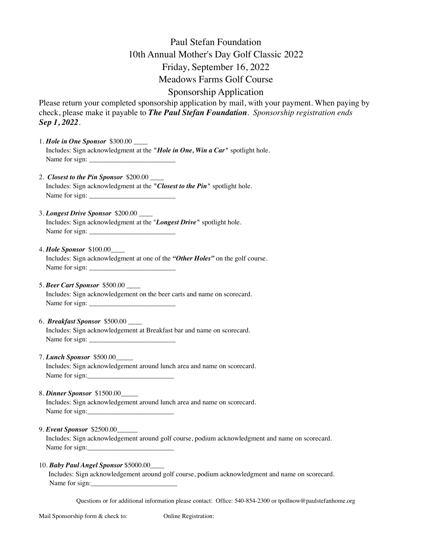## Paul Stefan Foundation 10th Annual Mother's Day Golf Classic 2022 Friday, September 16, 2022 Meadows Farms Golf Course

## Sponsorship Application

Please return your completed sponsorship application by mail, with your payment. When paying by check, please make it payable to *The Paul Stefan Foundation*. *Sponsorship registration ends Sep 1, 2022.*

- 1. *Hole in One Sponsor* \$300.00 \_\_\_\_ Includes: Sign acknowledgment at the *"Hole in One, Win a Car"* spotlight hole. Name for sign:
- 2. *Closest to the Pin Sponsor* \$200.00 Includes: Sign acknowledgment at the *"Closest to the Pin"* spotlight hole. Name for sign:
- 3. *Longest Drive Sponsor* \$200.00 \_\_\_\_ Includes: Sign acknowledgment at the "*Longest Drive"* spotlight hole. Name for sign:
- 4. *Hole Sponsor* \$100.00\_\_\_\_ Includes: Sign acknowledgment at one of the *"Other Holes"* on the golf course. Name for sign: \_\_\_\_\_\_\_\_\_\_\_\_\_\_\_\_\_\_\_\_\_\_\_\_\_
- 5. *Beer Cart Sponsor* \$500.00 \_\_\_\_ Includes: Sign acknowledgement on the beer carts and name on scorecard. Name for sign:
- 6. *Breakfast Sponsor* \$500.00 \_\_\_\_ Includes: Sign acknowledgement at Breakfast bar and name on scorecard. Name for sign: \_\_\_\_\_\_\_\_\_\_\_\_\_\_\_\_\_\_\_\_\_\_\_\_\_
- 7. *Lunch Sponsor* \$500.00\_\_\_\_\_ Includes: Sign acknowledgement around lunch area and name on scorecard. Name for sign:
- 8. *Dinner Sponsor* \$1500.00\_\_\_\_\_ Includes: Sign acknowledgement around lunch area and name on scorecard. Name for sign:\_\_\_\_\_\_\_\_\_\_\_\_\_\_\_\_\_\_\_\_\_\_\_\_\_
- 9. *Event Sponsor* \$2500.00\_\_\_\_\_\_

 Includes: Sign acknowledgement around golf course, podium acknowledgment and name on scorecard. Name for sign:

## 10. *Baby Paul Angel Sponsor* \$5000.00\_\_\_\_

 Includes: Sign acknowledgement around golf course, podium acknowledgment and name on scorecard. Name for sign:

Questions or for additional information please contact: Office: 540-854-2300 or tpollnow@paulstefanhome.org